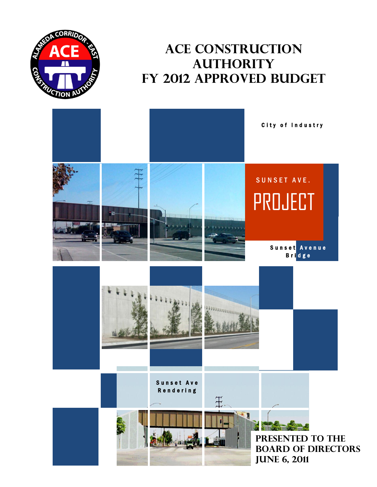

## **ACE Construction Authority FY 2012 approved Budget**

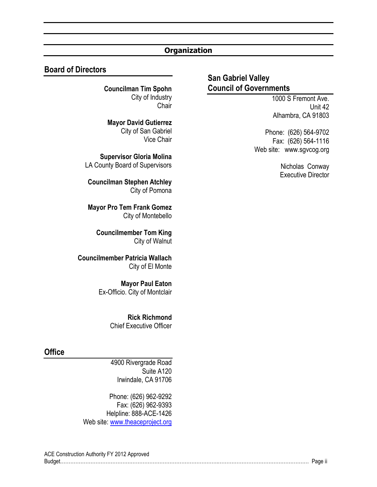#### **Organization**

#### **Board of Directors**

**Councilman Tim Spohn** City of Industry **Chair** 

**Mayor David Gutierrez** City of San Gabriel Vice Chair

**Supervisor Gloria Molina** LA County Board of Supervisors

**Councilman Stephen Atchley** City of Pomona

**Mayor Pro Tem Frank Gomez** City of Montebello

**Councilmember Tom King** City of Walnut

**Councilmember Patricia Wallach** City of El Monte

> **Mayor Paul Eaton** Ex-Officio. City of Montclair

> > **Rick Richmond** Chief Executive Officer

#### **Office**

4900 Rivergrade Road Suite A120 Irwindale, CA 91706

Phone: (626) 962-9292 Fax: (626) 962-9393 Helpline: 888-ACE-1426 Web site: [www.theaceproject.org](http://www.theaceproject.org/)

#### **San Gabriel Valley Council of Governments**

1000 S Fremont Ave. Unit 42 Alhambra, CA 91803

Phone: (626) 564-9702 Fax: (626) 564-1116 Web site: www.sgvcog.org

> Nicholas Conway Executive Director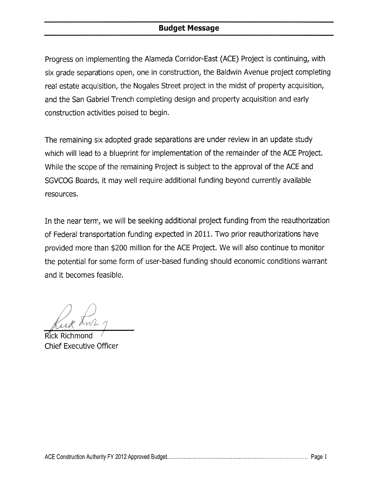#### **Budget Message**

Progress on implementing the Alameda Corridor-East (ACE) Project is continuing, with six grade separations open, one in construction, the Baldwin Avenue project completing real estate acquisition, the Nogales Street project in the midst of property acquisition, and the San Gabriel Trench completing design and property acquisition and early construction activities poised to begin.

The remaining six adopted grade separations are under review in an update study which will lead to a blueprint for implementation of the remainder of the ACE Project. While the scope of the remaining Project is subject to the approval of the ACE and SGVCOG Boards, it may well require additional funding beyond currently available resources.

In the near term, we will be seeking additional project funding from the reauthorization of Federal transportation funding expected in 2011. Two prior reauthorizations have provided more than \$200 million for the ACE Project. We will also continue to monitor the potential for some form of user-based funding should economic conditions warrant and it becomes feasible.

**Chief Executive Officer**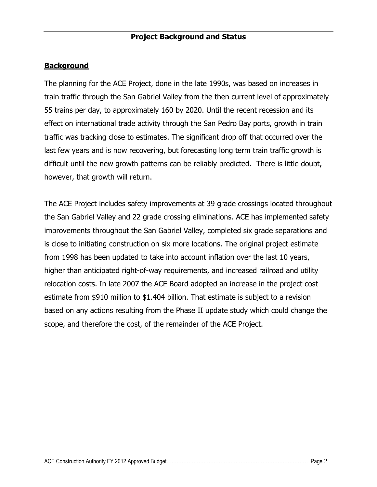#### <span id="page-4-0"></span>**Background**

The planning for the ACE Project, done in the late 1990s, was based on increases in train traffic through the San Gabriel Valley from the then current level of approximately 55 trains per day, to approximately 160 by 2020. Until the recent recession and its effect on international trade activity through the San Pedro Bay ports, growth in train traffic was tracking close to estimates. The significant drop off that occurred over the last few years and is now recovering, but forecasting long term train traffic growth is difficult until the new growth patterns can be reliably predicted. There is little doubt, however, that growth will return.

The ACE Project includes safety improvements at 39 grade crossings located throughout the San Gabriel Valley and 22 grade crossing eliminations. ACE has implemented safety improvements throughout the San Gabriel Valley, completed six grade separations and is close to initiating construction on six more locations. The original project estimate from 1998 has been updated to take into account inflation over the last 10 years, higher than anticipated right-of-way requirements, and increased railroad and utility relocation costs. In late 2007 the ACE Board adopted an increase in the project cost estimate from \$910 million to \$1.404 billion. That estimate is subject to a revision based on any actions resulting from the Phase II update study which could change the scope, and therefore the cost, of the remainder of the ACE Project.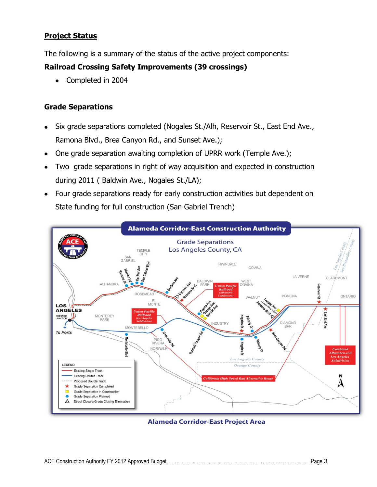#### <span id="page-5-0"></span>**Project Status**

The following is a summary of the status of the active project components:

#### **Railroad Crossing Safety Improvements (39 crossings)**

Completed in 2004  $\bullet$ 

#### **Grade Separations**

- Six grade separations completed (Nogales St./Alh, Reservoir St., East End Ave., Ramona Blvd., Brea Canyon Rd., and Sunset Ave.);
- One grade separation awaiting completion of UPRR work (Temple Ave.);  $\bullet$
- Two grade separations in right of way acquisition and expected in construction during 2011 ( Baldwin Ave., Nogales St./LA);
- Four grade separations ready for early construction activities but dependent on State funding for full construction (San Gabriel Trench)



**Alameda Corridor-East Project Area**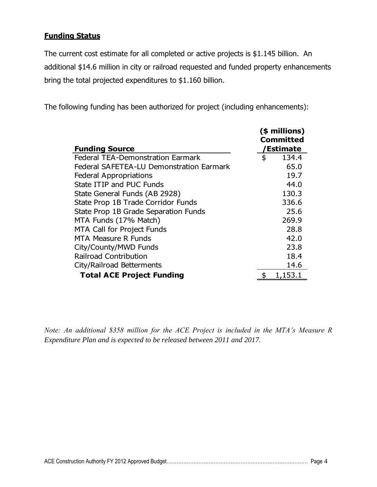#### <span id="page-6-0"></span>**Funding Status**

The current cost estimate for all completed or active projects is \$1.145 billion. An additional \$14.6 million in city or railroad requested and funded property enhancements bring the total projected expenditures to \$1.160 billion.

The following funding has been authorized for project (including enhancements):

|                                          | (\$ millions)<br>Committed |           |  |
|------------------------------------------|----------------------------|-----------|--|
| <b>Funding Source</b>                    |                            | 'Estimate |  |
| <b>Federal TEA-Demonstration Earmark</b> | \$                         | 134.4     |  |
| Federal SAFETEA-LU Demonstration Earmark |                            | 65.0      |  |
| <b>Federal Appropriations</b>            |                            | 19.7      |  |
| State ITIP and PUC Funds                 |                            | 44.0      |  |
| State General Funds (AB 2928)            |                            | 130.3     |  |
| State Prop 1B Trade Corridor Funds       |                            | 336.6     |  |
| State Prop 1B Grade Separation Funds     |                            | 25.6      |  |
| MTA Funds (17% Match)                    |                            | 269.9     |  |
| <b>MTA Call for Project Funds</b>        |                            | 28.8      |  |
| <b>MTA Measure R Funds</b>               |                            | 42.0      |  |
| City/County/MWD Funds                    |                            | 23.8      |  |
| <b>Railroad Contribution</b>             |                            | 18.4      |  |
| City/Railroad Betterments                |                            | 14.6      |  |
| <b>Total ACE Project Funding</b>         |                            | 1,153.1   |  |

*Note: An additional \$358 million for the ACE Project is included in the MTA's Measure R Expenditure Plan and is expected to be released between 2011 and 2017.*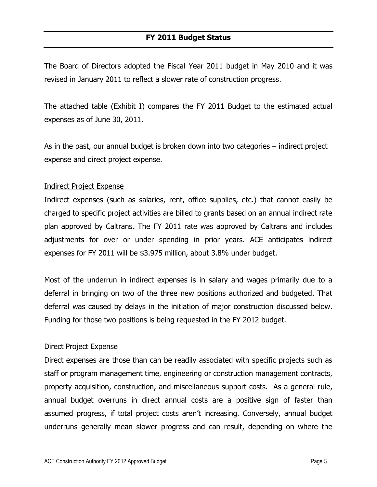<span id="page-7-0"></span>The Board of Directors adopted the Fiscal Year 2011 budget in May 2010 and it was revised in January 2011 to reflect a slower rate of construction progress.

The attached table (Exhibit I) compares the FY 2011 Budget to the estimated actual expenses as of June 30, 2011.

As in the past, our annual budget is broken down into two categories – indirect project expense and direct project expense.

#### Indirect Project Expense

Indirect expenses (such as salaries, rent, office supplies, etc.) that cannot easily be charged to specific project activities are billed to grants based on an annual indirect rate plan approved by Caltrans. The FY 2011 rate was approved by Caltrans and includes adjustments for over or under spending in prior years. ACE anticipates indirect expenses for FY 2011 will be \$3.975 million, about 3.8% under budget.

Most of the underrun in indirect expenses is in salary and wages primarily due to a deferral in bringing on two of the three new positions authorized and budgeted. That deferral was caused by delays in the initiation of major construction discussed below. Funding for those two positions is being requested in the FY 2012 budget.

#### Direct Project Expense

Direct expenses are those than can be readily associated with specific projects such as staff or program management time, engineering or construction management contracts, property acquisition, construction, and miscellaneous support costs. As a general rule, annual budget overruns in direct annual costs are a positive sign of faster than assumed progress, if total project costs aren't increasing. Conversely, annual budget underruns generally mean slower progress and can result, depending on where the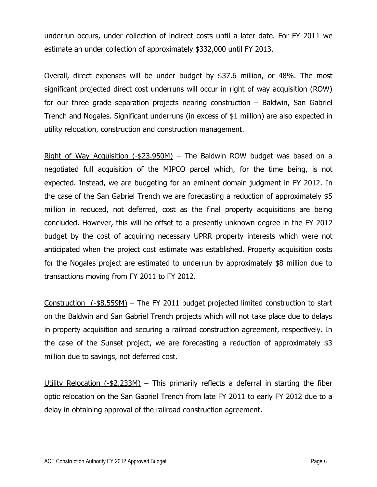underrun occurs, under collection of indirect costs until a later date. For FY 2011 we estimate an under collection of approximately \$332,000 until FY 2013.

Overall, direct expenses will be under budget by \$37.6 million, or 48%. The most significant projected direct cost underruns will occur in right of way acquisition (ROW) for our three grade separation projects nearing construction – Baldwin, San Gabriel Trench and Nogales. Significant underruns (in excess of \$1 million) are also expected in utility relocation, construction and construction management.

Right of Way Acquisition (-\$23.950M) – The Baldwin ROW budget was based on a negotiated full acquisition of the MIPCO parcel which, for the time being, is not expected. Instead, we are budgeting for an eminent domain judgment in FY 2012. In the case of the San Gabriel Trench we are forecasting a reduction of approximately \$5 million in reduced, not deferred, cost as the final property acquisitions are being concluded. However, this will be offset to a presently unknown degree in the FY 2012 budget by the cost of acquiring necessary UPRR property interests which were not anticipated when the project cost estimate was established. Property acquisition costs for the Nogales project are estimated to underrun by approximately \$8 million due to transactions moving from FY 2011 to FY 2012.

Construction (-\$8.559M) – The FY 2011 budget projected limited construction to start on the Baldwin and San Gabriel Trench projects which will not take place due to delays in property acquisition and securing a railroad construction agreement, respectively. In the case of the Sunset project, we are forecasting a reduction of approximately \$3 million due to savings, not deferred cost.

Utility Relocation  $(-2.233M)$  – This primarily reflects a deferral in starting the fiber optic relocation on the San Gabriel Trench from late FY 2011 to early FY 2012 due to a delay in obtaining approval of the railroad construction agreement.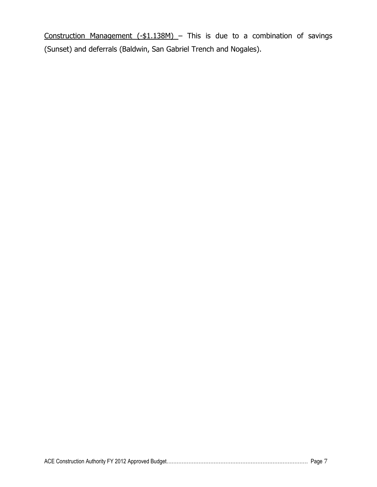Construction Management (-\$1.138M) - This is due to a combination of savings (Sunset) and deferrals (Baldwin, San Gabriel Trench and Nogales).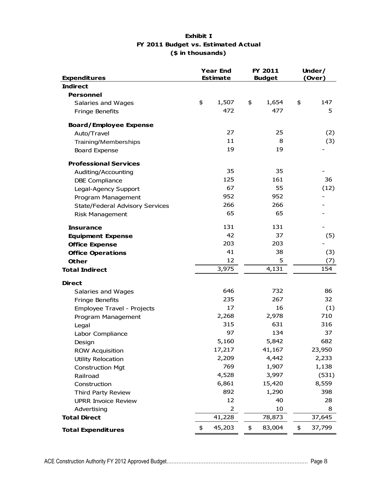#### **Exhibit I FY 2011 Budget vs. Estimated Actual (\$ in thousands)**

| <b>Expenditures</b>                    |    | <b>Year End</b><br><b>Estimate</b> |    | FY 2011<br><b>Budget</b> | Under/<br>(Over) |        |  |
|----------------------------------------|----|------------------------------------|----|--------------------------|------------------|--------|--|
| <b>Indirect</b>                        |    |                                    |    |                          |                  |        |  |
| <b>Personnel</b>                       |    |                                    |    |                          |                  |        |  |
| Salaries and Wages                     | \$ | 1,507                              | \$ | 1,654                    | \$               | 147    |  |
| Fringe Benefits                        |    | 472                                |    | 477                      |                  | 5      |  |
| <b>Board/Employee Expense</b>          |    |                                    |    |                          |                  |        |  |
| Auto/Travel                            |    | 27                                 |    | 25                       |                  | (2)    |  |
| Training/Memberships                   |    | 11                                 |    | 8                        |                  | (3)    |  |
| <b>Board Expense</b>                   |    | 19                                 |    | 19                       |                  |        |  |
| <b>Professional Services</b>           |    |                                    |    |                          |                  |        |  |
| Auditing/Accounting                    |    | 35                                 |    | 35                       |                  |        |  |
| <b>DBE Compliance</b>                  |    | 125                                |    | 161                      |                  | 36     |  |
| Legal-Agency Support                   |    | 67                                 |    | 55                       |                  | (12)   |  |
| Program Management                     |    | 952                                |    | 952                      |                  |        |  |
| <b>State/Federal Advisory Services</b> |    | 266                                |    | 266                      |                  |        |  |
| <b>Risk Management</b>                 |    | 65                                 |    | 65                       |                  |        |  |
| Insurance                              |    | 131                                |    | 131                      |                  |        |  |
| <b>Equipment Expense</b>               |    | 42                                 |    | 37                       |                  | (5)    |  |
| <b>Office Expense</b>                  |    | 203                                |    | 203                      |                  |        |  |
| <b>Office Operations</b>               |    | 41                                 |    | 38                       |                  | (3)    |  |
| <b>Other</b>                           |    | 12                                 |    | 5                        |                  | (7)    |  |
| <b>Total Indirect</b>                  |    | 3,975                              |    | 4,131                    |                  | 154    |  |
| <b>Direct</b>                          |    |                                    |    |                          |                  |        |  |
| Salaries and Wages                     |    | 646                                |    | 732                      |                  | 86     |  |
| Fringe Benefits                        |    | 235                                |    | 267                      |                  | 32     |  |
| Employee Travel - Projects             |    | 17                                 |    | 16                       |                  | (1)    |  |
| Program Management                     |    | 2,268                              |    | 2,978                    |                  | 710    |  |
| Legal                                  |    | 315                                |    | 631                      |                  | 316    |  |
| Labor Compliance                       |    | 97                                 |    | 134                      |                  | 37     |  |
| Design                                 |    | 5,160                              |    | 5,842                    |                  | 682    |  |
| <b>ROW Acquisition</b>                 |    | 17,217                             |    | 41,167                   |                  | 23,950 |  |
| Utility Relocation                     |    | 2,209                              |    | 4,442                    |                  | 2,233  |  |
| <b>Construction Mgt</b>                |    | 769                                |    | 1,907                    |                  | 1,138  |  |
| Railroad                               |    | 4,528                              |    | 3,997                    |                  | (531)  |  |
| Construction                           |    | 6,861                              |    | 15,420                   |                  | 8,559  |  |
| Third Party Review                     |    | 892                                |    | 1,290                    |                  | 398    |  |
| <b>UPRR Invoice Review</b>             |    | 12                                 |    | 40                       |                  | 28     |  |
| Advertising                            |    | 2                                  |    | 10                       |                  | 8      |  |
| <b>Total Direct</b>                    |    | 41,228                             |    | 78,873                   |                  | 37,645 |  |
| <b>Total Expenditures</b>              | \$ | 45,203                             | \$ | 83,004                   | \$               | 37,799 |  |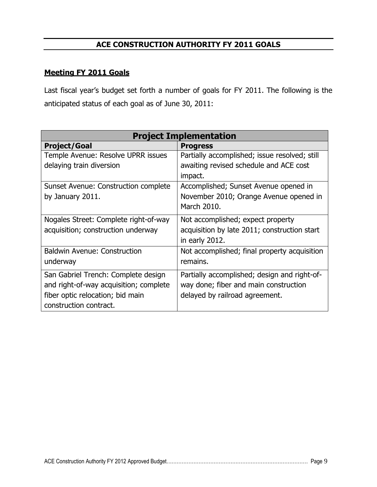#### **ACE CONSTRUCTION AUTHORITY FY 2011 GOALS**

#### <span id="page-11-1"></span><span id="page-11-0"></span>**Meeting FY 2011 Goals**

Last fiscal year's budget set forth a number of goals for FY 2011. The following is the anticipated status of each goal as of June 30, 2011:

| <b>Project Implementation</b>          |                                               |  |  |  |  |  |  |
|----------------------------------------|-----------------------------------------------|--|--|--|--|--|--|
| <b>Project/Goal</b>                    | <b>Progress</b>                               |  |  |  |  |  |  |
| Temple Avenue: Resolve UPRR issues     | Partially accomplished; issue resolved; still |  |  |  |  |  |  |
| delaying train diversion               | awaiting revised schedule and ACE cost        |  |  |  |  |  |  |
|                                        | impact.                                       |  |  |  |  |  |  |
| Sunset Avenue: Construction complete   | Accomplished; Sunset Avenue opened in         |  |  |  |  |  |  |
| by January 2011.                       | November 2010; Orange Avenue opened in        |  |  |  |  |  |  |
|                                        | March 2010.                                   |  |  |  |  |  |  |
| Nogales Street: Complete right-of-way  | Not accomplished; expect property             |  |  |  |  |  |  |
| acquisition; construction underway     | acquisition by late 2011; construction start  |  |  |  |  |  |  |
|                                        | in early 2012.                                |  |  |  |  |  |  |
| <b>Baldwin Avenue: Construction</b>    | Not accomplished; final property acquisition  |  |  |  |  |  |  |
| underway                               | remains.                                      |  |  |  |  |  |  |
| San Gabriel Trench: Complete design    | Partially accomplished; design and right-of-  |  |  |  |  |  |  |
| and right-of-way acquisition; complete | way done; fiber and main construction         |  |  |  |  |  |  |
| fiber optic relocation; bid main       | delayed by railroad agreement.                |  |  |  |  |  |  |
| construction contract.                 |                                               |  |  |  |  |  |  |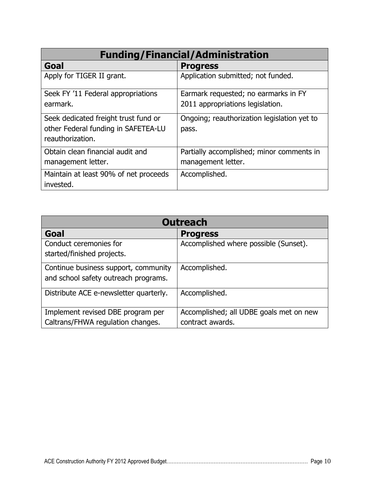| <b>Funding/Financial/Administration</b> |                                             |  |  |  |  |  |
|-----------------------------------------|---------------------------------------------|--|--|--|--|--|
| Goal                                    | <b>Progress</b>                             |  |  |  |  |  |
| Apply for TIGER II grant.               | Application submitted; not funded.          |  |  |  |  |  |
| Seek FY '11 Federal appropriations      | Earmark requested; no earmarks in FY        |  |  |  |  |  |
| earmark.                                | 2011 appropriations legislation.            |  |  |  |  |  |
| Seek dedicated freight trust fund or    | Ongoing; reauthorization legislation yet to |  |  |  |  |  |
| other Federal funding in SAFETEA-LU     | pass.                                       |  |  |  |  |  |
| reauthorization.                        |                                             |  |  |  |  |  |
| Obtain clean financial audit and        | Partially accomplished; minor comments in   |  |  |  |  |  |
| management letter.                      | management letter.                          |  |  |  |  |  |
| Maintain at least 90% of net proceeds   | Accomplished.                               |  |  |  |  |  |
| invested.                               |                                             |  |  |  |  |  |

| <b>Outreach</b>                        |                                         |  |  |  |  |  |  |
|----------------------------------------|-----------------------------------------|--|--|--|--|--|--|
| Goal                                   | <b>Progress</b>                         |  |  |  |  |  |  |
| Conduct ceremonies for                 | Accomplished where possible (Sunset).   |  |  |  |  |  |  |
| started/finished projects.             |                                         |  |  |  |  |  |  |
| Continue business support, community   | Accomplished.                           |  |  |  |  |  |  |
| and school safety outreach programs.   |                                         |  |  |  |  |  |  |
| Distribute ACE e-newsletter quarterly. | Accomplished.                           |  |  |  |  |  |  |
|                                        |                                         |  |  |  |  |  |  |
| Implement revised DBE program per      | Accomplished; all UDBE goals met on new |  |  |  |  |  |  |
| Caltrans/FHWA regulation changes.      | contract awards.                        |  |  |  |  |  |  |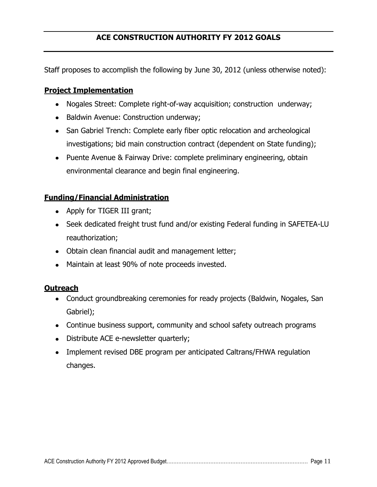<span id="page-13-0"></span>Staff proposes to accomplish the following by June 30, 2012 (unless otherwise noted):

#### <span id="page-13-1"></span>**Project Implementation**

- Nogales Street: Complete right-of-way acquisition; construction underway;
- Baldwin Avenue: Construction underway;
- San Gabriel Trench: Complete early fiber optic relocation and archeological investigations; bid main construction contract (dependent on State funding);
- Puente Avenue & Fairway Drive: complete preliminary engineering, obtain environmental clearance and begin final engineering.

#### <span id="page-13-2"></span>**Funding/Financial Administration**

- Apply for TIGER III grant;
- Seek dedicated freight trust fund and/or existing Federal funding in SAFETEA-LU reauthorization;
- Obtain clean financial audit and management letter;
- Maintain at least 90% of note proceeds invested.

#### <span id="page-13-3"></span>**Outreach**

- Conduct groundbreaking ceremonies for ready projects (Baldwin, Nogales, San Gabriel);
- Continue business support, community and school safety outreach programs
- Distribute ACE e-newsletter quarterly;
- Implement revised DBE program per anticipated Caltrans/FHWA regulation changes.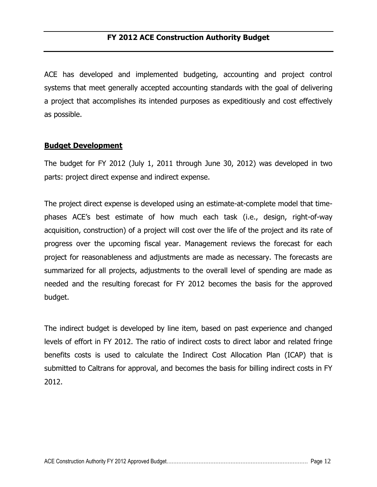<span id="page-14-0"></span>ACE has developed and implemented budgeting, accounting and project control systems that meet generally accepted accounting standards with the goal of delivering a project that accomplishes its intended purposes as expeditiously and cost effectively as possible.

#### <span id="page-14-1"></span>**Budget Development**

The budget for FY 2012 (July 1, 2011 through June 30, 2012) was developed in two parts: project direct expense and indirect expense.

The project direct expense is developed using an estimate-at-complete model that timephases ACE's best estimate of how much each task (i.e., design, right-of-way acquisition, construction) of a project will cost over the life of the project and its rate of progress over the upcoming fiscal year. Management reviews the forecast for each project for reasonableness and adjustments are made as necessary. The forecasts are summarized for all projects, adjustments to the overall level of spending are made as needed and the resulting forecast for FY 2012 becomes the basis for the approved budget.

The indirect budget is developed by line item, based on past experience and changed levels of effort in FY 2012. The ratio of indirect costs to direct labor and related fringe benefits costs is used to calculate the Indirect Cost Allocation Plan (ICAP) that is submitted to Caltrans for approval, and becomes the basis for billing indirect costs in FY 2012.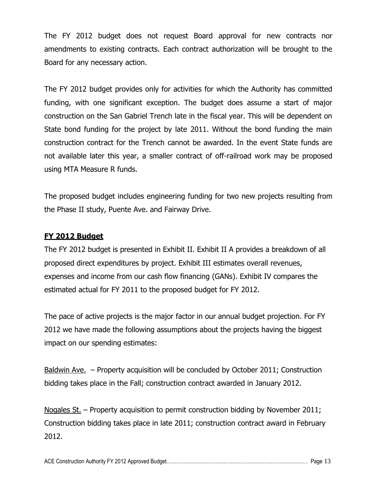The FY 2012 budget does not request Board approval for new contracts nor amendments to existing contracts. Each contract authorization will be brought to the Board for any necessary action.

The FY 2012 budget provides only for activities for which the Authority has committed funding, with one significant exception. The budget does assume a start of major construction on the San Gabriel Trench late in the fiscal year. This will be dependent on State bond funding for the project by late 2011. Without the bond funding the main construction contract for the Trench cannot be awarded. In the event State funds are not available later this year, a smaller contract of off-railroad work may be proposed using MTA Measure R funds.

The proposed budget includes engineering funding for two new projects resulting from the Phase II study, Puente Ave. and Fairway Drive.

#### <span id="page-15-0"></span>**FY 2012 Budget**

The FY 2012 budget is presented in Exhibit II. Exhibit II A provides a breakdown of all proposed direct expenditures by project. Exhibit III estimates overall revenues, expenses and income from our cash flow financing (GANs). Exhibit IV compares the estimated actual for FY 2011 to the proposed budget for FY 2012.

The pace of active projects is the major factor in our annual budget projection. For FY 2012 we have made the following assumptions about the projects having the biggest impact on our spending estimates:

Baldwin Ave. – Property acquisition will be concluded by October 2011; Construction bidding takes place in the Fall; construction contract awarded in January 2012.

Nogales St. – Property acquisition to permit construction bidding by November 2011; Construction bidding takes place in late 2011; construction contract award in February 2012.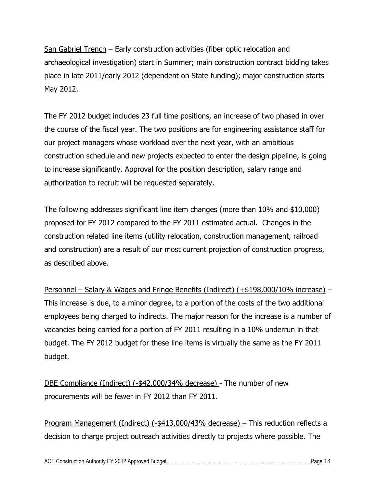San Gabriel Trench – Early construction activities (fiber optic relocation and archaeological investigation) start in Summer; main construction contract bidding takes place in late 2011/early 2012 (dependent on State funding); major construction starts May 2012.

The FY 2012 budget includes 23 full time positions, an increase of two phased in over the course of the fiscal year. The two positions are for engineering assistance staff for our project managers whose workload over the next year, with an ambitious construction schedule and new projects expected to enter the design pipeline, is going to increase significantly. Approval for the position description, salary range and authorization to recruit will be requested separately.

The following addresses significant line item changes (more than 10% and \$10,000) proposed for FY 2012 compared to the FY 2011 estimated actual. Changes in the construction related line items (utility relocation, construction management, railroad and construction) are a result of our most current projection of construction progress, as described above.

Personnel – Salary & Wages and Fringe Benefits (Indirect) (+\$198,000/10% increase) – This increase is due, to a minor degree, to a portion of the costs of the two additional employees being charged to indirects. The major reason for the increase is a number of vacancies being carried for a portion of FY 2011 resulting in a 10% underrun in that budget. The FY 2012 budget for these line items is virtually the same as the FY 2011 budget.

DBE Compliance (Indirect) (-\$42,000/34% decrease) - The number of new procurements will be fewer in FY 2012 than FY 2011.

Program Management (Indirect) (-\$413,000/43% decrease) – This reduction reflects a decision to charge project outreach activities directly to projects where possible. The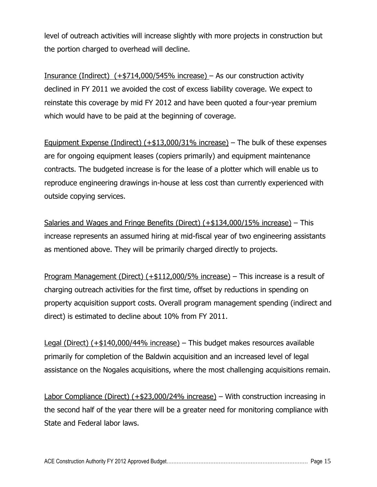level of outreach activities will increase slightly with more projects in construction but the portion charged to overhead will decline.

Insurance (Indirect) (+\$714,000/545% increase) – As our construction activity declined in FY 2011 we avoided the cost of excess liability coverage. We expect to reinstate this coverage by mid FY 2012 and have been quoted a four-year premium which would have to be paid at the beginning of coverage.

Equipment Expense (Indirect)  $(+13,000/31\%)$  increase) – The bulk of these expenses are for ongoing equipment leases (copiers primarily) and equipment maintenance contracts. The budgeted increase is for the lease of a plotter which will enable us to reproduce engineering drawings in-house at less cost than currently experienced with outside copying services.

Salaries and Wages and Fringe Benefits (Direct) (+\$134,000/15% increase) – This increase represents an assumed hiring at mid-fiscal year of two engineering assistants as mentioned above. They will be primarily charged directly to projects.

Program Management (Direct) (+\$112,000/5% increase) - This increase is a result of charging outreach activities for the first time, offset by reductions in spending on property acquisition support costs. Overall program management spending (indirect and direct) is estimated to decline about 10% from FY 2011.

Legal (Direct) (+\$140,000/44% increase) – This budget makes resources available primarily for completion of the Baldwin acquisition and an increased level of legal assistance on the Nogales acquisitions, where the most challenging acquisitions remain.

Labor Compliance (Direct) (+\$23,000/24% increase) – With construction increasing in the second half of the year there will be a greater need for monitoring compliance with State and Federal labor laws.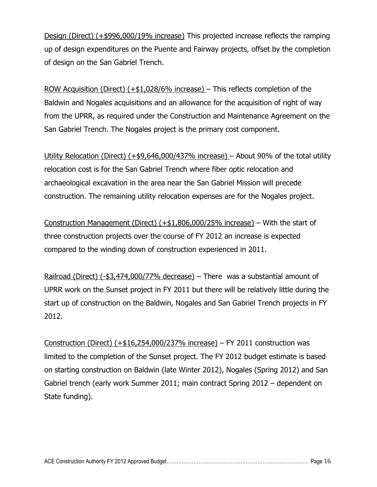Design (Direct) (+\$996,000/19% increase) This projected increase reflects the ramping up of design expenditures on the Puente and Fairway projects, offset by the completion of design on the San Gabriel Trench.

ROW Acquisition (Direct) (+\$1,028/6% increase) – This reflects completion of the Baldwin and Nogales acquisitions and an allowance for the acquisition of right of way from the UPRR, as required under the Construction and Maintenance Agreement on the San Gabriel Trench. The Nogales project is the primary cost component.

Utility Relocation (Direct) (+\$9,646,000/437% increase) – About 90% of the total utility relocation cost is for the San Gabriel Trench where fiber optic relocation and archaeological excavation in the area near the San Gabriel Mission will precede construction. The remaining utility relocation expenses are for the Nogales project.

Construction Management (Direct)  $(+1,806,000/25\%)$  increase) – With the start of three construction projects over the course of FY 2012 an increase is expected compared to the winding down of construction experienced in 2011.

Railroad (Direct) (-\$3,474,000/77% decrease) – There was a substantial amount of UPRR work on the Sunset project in FY 2011 but there will be relatively little during the start up of construction on the Baldwin, Nogales and San Gabriel Trench projects in FY 2012.

Construction (Direct)  $(+$16,254,000/237%$  increase) – FY 2011 construction was limited to the completion of the Sunset project. The FY 2012 budget estimate is based on starting construction on Baldwin (late Winter 2012), Nogales (Spring 2012) and San Gabriel trench (early work Summer 2011; main contract Spring 2012 – dependent on State funding).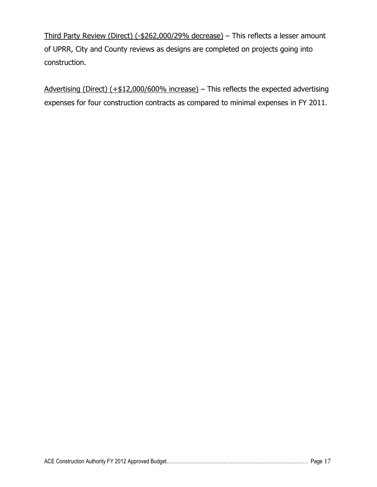Third Party Review (Direct) (-\$262,000/29% decrease) – This reflects a lesser amount of UPRR, City and County reviews as designs are completed on projects going into construction.

Advertising (Direct) (+\$12,000/600% increase) – This reflects the expected advertising expenses for four construction contracts as compared to minimal expenses in FY 2011.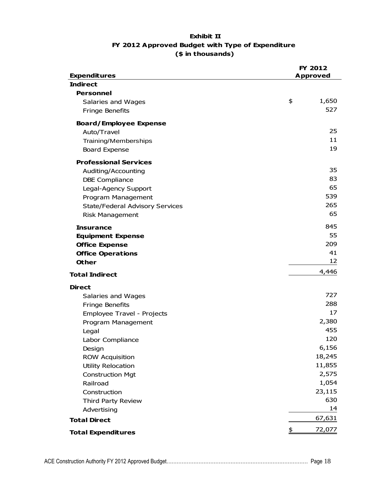#### **Exhibit II FY 2012 Approved Budget with Type of Expenditure (\$ in thousands)**

|                                        | FY 2012         |
|----------------------------------------|-----------------|
| <b>Expenditures</b><br><b>Indirect</b> | <b>Approved</b> |
| <b>Personnel</b>                       |                 |
| Salaries and Wages                     | \$<br>1,650     |
| Fringe Benefits                        | 527             |
|                                        |                 |
| <b>Board/Employee Expense</b>          |                 |
| Auto/Travel                            | 25              |
| Training/Memberships                   | 11              |
| <b>Board Expense</b>                   | 19              |
| <b>Professional Services</b>           |                 |
| Auditing/Accounting                    | 35              |
| <b>DBE Compliance</b>                  | 83              |
| Legal-Agency Support                   | 65              |
| Program Management                     | 539             |
| <b>State/Federal Advisory Services</b> | 265             |
| <b>Risk Management</b>                 | 65              |
| <b>Insurance</b>                       | 845             |
| <b>Equipment Expense</b>               | 55              |
| <b>Office Expense</b>                  | 209             |
| <b>Office Operations</b>               | 41              |
| <b>Other</b>                           | 12              |
| <b>Total Indirect</b>                  | 4,446           |
| <b>Direct</b>                          |                 |
| Salaries and Wages                     | 727             |
| Fringe Benefits                        | 288             |
| Employee Travel - Projects             | 17              |
| Program Management                     | 2,380           |
| Legal                                  | 455             |
| Labor Compliance                       | 120             |
| Design                                 | 6,156           |
| <b>ROW Acquisition</b>                 | 18,245          |
| <b>Utility Relocation</b>              | 11,855          |
| <b>Construction Mgt</b>                | 2,575           |
| Railroad                               | 1,054           |
| Construction                           | 23,115          |
| Third Party Review                     | 630             |
| Advertising                            | 14              |
| <b>Total Direct</b>                    | 67,631          |
| <b>Total Expenditures</b>              | \$<br>72,077    |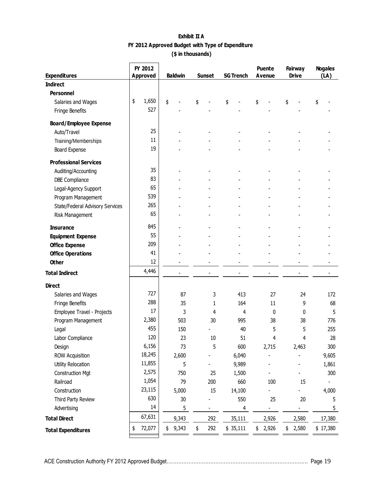| Exhibit II A                                     |  |  |  |  |  |
|--------------------------------------------------|--|--|--|--|--|
| FY 2012 Approved Budget with Type of Expenditure |  |  |  |  |  |
| (\$ in thousands)                                |  |  |  |  |  |

| <b>Expenditures</b>             |    | FY 2012<br><b>Approved</b> | <b>Puente</b><br><b>Baldwin</b><br><b>Sunset</b> |    | <b>SG Trench</b> |    | <b>Avenue</b> |    | <b>Fairway</b><br><b>Drive</b> |    | <b>Nogales</b><br>(LA) |    |          |
|---------------------------------|----|----------------------------|--------------------------------------------------|----|------------------|----|---------------|----|--------------------------------|----|------------------------|----|----------|
| <b>Indirect</b>                 |    |                            |                                                  |    |                  |    |               |    |                                |    |                        |    |          |
| <b>Personnel</b>                |    |                            |                                                  |    |                  |    |               |    |                                |    |                        |    |          |
| Salaries and Wages              | \$ | 1,650                      | \$                                               | \$ |                  | \$ |               | \$ |                                | \$ |                        | \$ |          |
| Fringe Benefits                 |    | 527                        |                                                  |    |                  |    |               |    |                                |    |                        |    |          |
| <b>Board/Employee Expense</b>   |    |                            |                                                  |    |                  |    |               |    |                                |    |                        |    |          |
| Auto/Travel                     |    | 25                         |                                                  |    |                  |    |               |    |                                |    |                        |    |          |
| Training/Memberships            |    | 11                         |                                                  |    |                  |    |               |    |                                |    |                        |    |          |
| Board Expense                   |    | 19                         |                                                  |    |                  |    |               |    |                                |    |                        |    |          |
| <b>Professional Services</b>    |    |                            |                                                  |    |                  |    |               |    |                                |    |                        |    |          |
| Auditing/Accounting             |    | 35                         |                                                  |    |                  |    |               |    |                                |    |                        |    |          |
| <b>DBE Compliance</b>           |    | 83                         |                                                  |    |                  |    |               |    |                                |    |                        |    |          |
| Legal-Agency Support            |    | 65                         |                                                  |    |                  |    |               |    |                                |    |                        |    |          |
| Program Management              |    | 539                        |                                                  |    |                  |    |               |    |                                |    |                        |    |          |
| State/Federal Advisory Services |    | 265                        |                                                  |    |                  |    |               |    |                                |    |                        |    |          |
| Risk Management                 |    | 65                         |                                                  |    |                  |    |               |    |                                |    |                        |    |          |
| <b>Insurance</b>                |    | 845                        |                                                  |    |                  |    |               |    |                                |    |                        |    |          |
| <b>Equipment Expense</b>        |    | 55                         |                                                  |    |                  |    |               |    |                                |    |                        |    |          |
| <b>Office Expense</b>           |    | 209                        |                                                  |    |                  |    |               |    |                                |    |                        |    |          |
| <b>Office Operations</b>        |    | 41                         |                                                  |    |                  |    |               |    |                                |    |                        |    |          |
| <b>Other</b>                    |    | 12                         |                                                  |    |                  |    |               |    |                                |    |                        |    |          |
| <b>Total Indirect</b>           |    | 4,446                      |                                                  |    |                  |    |               |    |                                |    |                        |    |          |
| <b>Direct</b>                   |    |                            |                                                  |    |                  |    |               |    |                                |    |                        |    |          |
| Salaries and Wages              |    | 727                        | 87                                               |    | 3                |    | 413           |    | 27                             |    | 24                     |    | 172      |
| Fringe Benefits                 |    | 288                        | 35                                               |    | 1                |    | 164           |    | 11                             |    | 9                      |    | 68       |
| Employee Travel - Projects      |    | 17                         | 3                                                |    | 4                |    | 4             |    | 0                              |    | $\Omega$               |    | 5        |
| Program Management              |    | 2,380                      | 503                                              |    | 30               |    | 995           |    | 38                             |    | 38                     |    | 776      |
| Legal                           |    | 455                        | 150                                              |    |                  |    | 40            |    | 5                              |    | 5                      |    | 255      |
| Labor Compliance                |    | 120                        | 23                                               |    | 10               |    | 51            |    | 4                              |    | 4                      |    | 28       |
| Design                          |    | 6,156                      | 73                                               |    | 5                |    | 600           |    | 2,715                          |    | 2,463                  |    | 300      |
| <b>ROW Acquisition</b>          |    | 18,245                     | 2,600                                            |    |                  |    | 6,040         |    |                                |    |                        |    | 9,605    |
| Utility Relocation              |    | 11,855                     | 5                                                |    |                  |    | 9,989         |    |                                |    |                        |    | 1,861    |
| <b>Construction Mgt</b>         |    | 2,575                      | 750                                              |    | 25               |    | 1,500         |    |                                |    |                        |    | 300      |
| Railroad                        |    | 1,054                      | 79                                               |    | 200              |    | 660           |    | 100                            |    | 15                     |    |          |
| Construction                    |    | 23,115                     | 5,000                                            |    | 15               |    | 14,100        |    |                                |    |                        |    | 4,000    |
| Third Party Review              |    | 630                        | 30                                               |    |                  |    | 550           |    | 25                             |    | 20                     |    | 5        |
| Advertising                     |    | 14                         | 5                                                |    | $\blacksquare$   |    | 4             |    | $\blacksquare$                 |    | $\frac{1}{2}$          |    | 5        |
| <b>Total Direct</b>             |    | 67,631                     | 9,343                                            |    | 292              |    | 35,111        |    | 2,926                          |    | 2,580                  |    | 17,380   |
| <b>Total Expenditures</b>       | \$ | 72,077                     | \$<br>9,343                                      | \$ | 292              |    | \$35,111      | \$ | 2,926                          | \$ | 2,580                  |    | \$17,380 |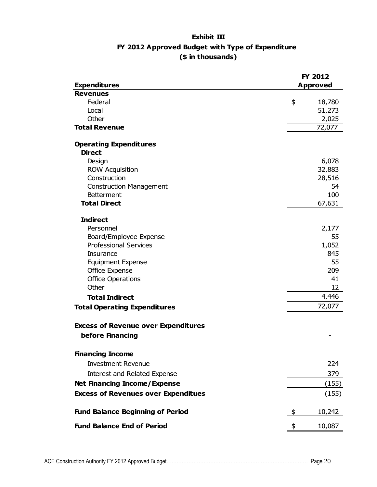#### **Exhibit III FY 2012 Approved Budget with Type of Expenditure (\$ in thousands)**

|                                            | FY 2012         |
|--------------------------------------------|-----------------|
| <b>Expenditures</b>                        | <b>Approved</b> |
| <b>Revenues</b>                            |                 |
| Federal                                    | \$<br>18,780    |
| Local                                      | 51,273          |
| Other                                      | 2,025           |
| <b>Total Revenue</b>                       | 72,077          |
| <b>Operating Expenditures</b>              |                 |
| <b>Direct</b>                              |                 |
| Design                                     | 6,078           |
| <b>ROW Acquisition</b>                     | 32,883          |
| Construction                               | 28,516          |
| <b>Construction Management</b>             | 54              |
| <b>Betterment</b>                          | 100             |
| <b>Total Direct</b>                        | 67,631          |
| <b>Indirect</b>                            |                 |
| Personnel                                  | 2,177           |
| Board/Employee Expense                     | 55              |
| <b>Professional Services</b>               | 1,052           |
| <b>Insurance</b>                           | 845             |
| <b>Equipment Expense</b>                   | 55              |
| Office Expense                             | 209             |
| <b>Office Operations</b>                   | 41              |
| Other                                      | 12              |
| <b>Total Indirect</b>                      | 4,446           |
| <b>Total Operating Expenditures</b>        | 72,077          |
| <b>Excess of Revenue over Expenditures</b> |                 |
| before Financing                           |                 |
| <b>Financing Income</b>                    |                 |
|                                            |                 |
| <b>Investment Revenue</b>                  | 224             |
| <b>Interest and Related Expense</b>        | 379             |
| <b>Net Financing Income/Expense</b>        | (155)           |
| <b>Excess of Revenues over Expenditues</b> | (155)           |
| <b>Fund Balance Beginning of Period</b>    | 10,242<br>\$    |
| <b>Fund Balance End of Period</b>          | 10,087<br>\$    |
|                                            |                 |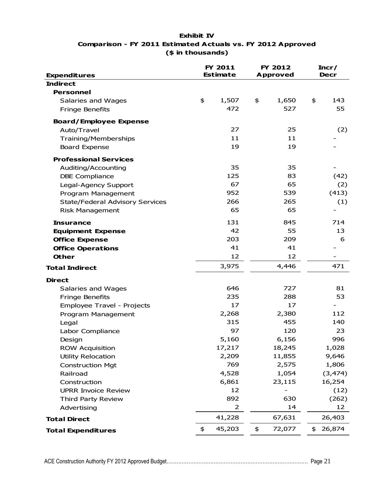#### **Exhibit IV Comparison - FY 2011 Estimated Actuals vs. FY 2012 Approved (\$ in thousands)**

<span id="page-23-0"></span>

| <b>Expenditures</b>                    |    | FY 2011<br><b>Estimate</b> |    | FY 2012<br><b>Approved</b> | Incr/<br><b>Decr</b> |          |  |
|----------------------------------------|----|----------------------------|----|----------------------------|----------------------|----------|--|
| <b>Indirect</b>                        |    |                            |    |                            |                      |          |  |
| <b>Personnel</b>                       |    |                            |    |                            |                      |          |  |
| Salaries and Wages                     | \$ | 1,507                      | \$ | 1,650                      | \$                   | 143      |  |
| <b>Fringe Benefits</b>                 |    | 472                        |    | 527                        |                      | 55       |  |
| <b>Board/Employee Expense</b>          |    |                            |    |                            |                      |          |  |
| Auto/Travel                            |    | 27                         |    | 25                         |                      | (2)      |  |
| <b>Training/Memberships</b>            |    | 11                         |    | 11                         |                      |          |  |
| <b>Board Expense</b>                   |    | 19                         |    | 19                         |                      |          |  |
| <b>Professional Services</b>           |    |                            |    |                            |                      |          |  |
| Auditing/Accounting                    |    | 35                         |    | 35                         |                      |          |  |
| <b>DBE Compliance</b>                  |    | 125                        |    | 83                         |                      | (42)     |  |
| Legal-Agency Support                   |    | 67                         |    | 65                         |                      | (2)      |  |
| Program Management                     |    | 952                        |    | 539                        |                      | (413)    |  |
| <b>State/Federal Advisory Services</b> |    | 266                        |    | 265                        |                      | (1)      |  |
| <b>Risk Management</b>                 |    | 65                         |    | 65                         |                      |          |  |
| <b>Insurance</b>                       |    | 131                        |    | 845                        |                      | 714      |  |
| <b>Equipment Expense</b>               |    | 42                         |    | 55                         |                      | 13       |  |
| <b>Office Expense</b>                  |    | 203                        |    | 209                        |                      | 6        |  |
| <b>Office Operations</b>               |    | 41                         |    | 41                         |                      |          |  |
| <b>Other</b>                           |    | 12                         |    | 12                         |                      |          |  |
| <b>Total Indirect</b>                  |    | 3,975                      |    | 4,446                      |                      | 471      |  |
| <b>Direct</b>                          |    |                            |    |                            |                      |          |  |
| Salaries and Wages                     |    | 646                        |    | 727                        |                      | 81       |  |
| Fringe Benefits                        |    | 235                        |    | 288                        |                      | 53       |  |
| Employee Travel - Projects             |    | 17                         |    | 17                         |                      |          |  |
| Program Management                     |    | 2,268                      |    | 2,380                      |                      | 112      |  |
| Legal                                  |    | 315                        |    | 455                        |                      | 140      |  |
| Labor Compliance                       |    | 97                         |    | 120                        |                      | 23       |  |
| Design                                 |    | 5,160                      |    | 6,156                      |                      | 996      |  |
| <b>ROW Acquisition</b>                 |    | 17,217                     |    | 18,245                     |                      | 1,028    |  |
| <b>Utility Relocation</b>              |    | 2,209                      |    | 11,855                     |                      | 9,646    |  |
| <b>Construction Mgt</b>                |    | 769                        |    | 2,575                      |                      | 1,806    |  |
| Railroad                               |    | 4,528                      |    | 1,054                      |                      | (3, 474) |  |
| Construction                           |    | 6,861                      |    | 23,115                     |                      | 16,254   |  |
| <b>UPRR Invoice Review</b>             |    | 12                         |    |                            |                      | (12)     |  |
| <b>Third Party Review</b>              |    | 892                        |    | 630                        |                      | (262)    |  |
| Advertising                            |    | $\overline{2}$             |    | 14                         |                      | 12       |  |
| <b>Total Direct</b>                    |    | 41,228                     |    | 67,631                     |                      | 26,403   |  |
| <b>Total Expenditures</b>              | \$ | 45,203                     | \$ | 72,077                     | \$                   | 26,874   |  |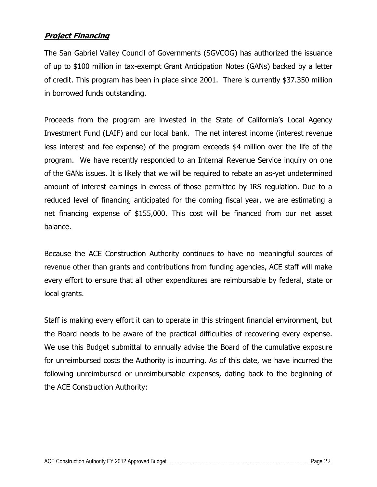#### **Project Financing**

The San Gabriel Valley Council of Governments (SGVCOG) has authorized the issuance of up to \$100 million in tax-exempt Grant Anticipation Notes (GANs) backed by a letter of credit. This program has been in place since 2001. There is currently \$37.350 million in borrowed funds outstanding.

Proceeds from the program are invested in the State of California's Local Agency Investment Fund (LAIF) and our local bank. The net interest income (interest revenue less interest and fee expense) of the program exceeds \$4 million over the life of the program. We have recently responded to an Internal Revenue Service inquiry on one of the GANs issues. It is likely that we will be required to rebate an as-yet undetermined amount of interest earnings in excess of those permitted by IRS regulation. Due to a reduced level of financing anticipated for the coming fiscal year, we are estimating a net financing expense of \$155,000. This cost will be financed from our net asset balance.

Because the ACE Construction Authority continues to have no meaningful sources of revenue other than grants and contributions from funding agencies, ACE staff will make every effort to ensure that all other expenditures are reimbursable by federal, state or local grants.

Staff is making every effort it can to operate in this stringent financial environment, but the Board needs to be aware of the practical difficulties of recovering every expense. We use this Budget submittal to annually advise the Board of the cumulative exposure for unreimbursed costs the Authority is incurring. As of this date, we have incurred the following unreimbursed or unreimbursable expenses, dating back to the beginning of the ACE Construction Authority: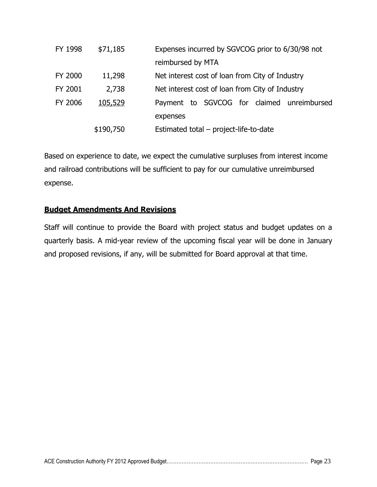| FY 1998 | \$71,185  | Expenses incurred by SGVCOG prior to 6/30/98 not |
|---------|-----------|--------------------------------------------------|
|         |           | reimbursed by MTA                                |
| FY 2000 | 11,298    | Net interest cost of loan from City of Industry  |
| FY 2001 | 2,738     | Net interest cost of loan from City of Industry  |
| FY 2006 | 105,529   | Payment to SGVCOG for claimed unreimbursed       |
|         |           | expenses                                         |
|         | \$190,750 | Estimated total – project-life-to-date           |

Based on experience to date, we expect the cumulative surpluses from interest income and railroad contributions will be sufficient to pay for our cumulative unreimbursed expense.

#### <span id="page-25-0"></span>**Budget Amendments And Revisions**

Staff will continue to provide the Board with project status and budget updates on a quarterly basis. A mid-year review of the upcoming fiscal year will be done in January and proposed revisions, if any, will be submitted for Board approval at that time.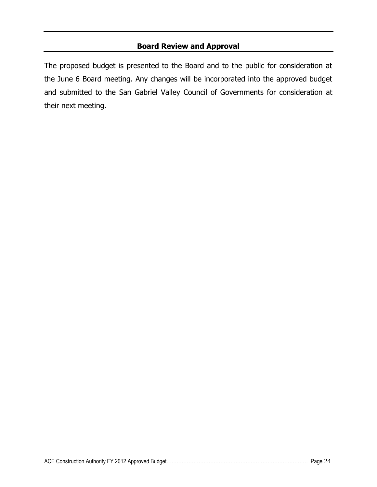#### **Board Review and Approval**

<span id="page-26-0"></span>The proposed budget is presented to the Board and to the public for consideration at the June 6 Board meeting. Any changes will be incorporated into the approved budget and submitted to the San Gabriel Valley Council of Governments for consideration at their next meeting.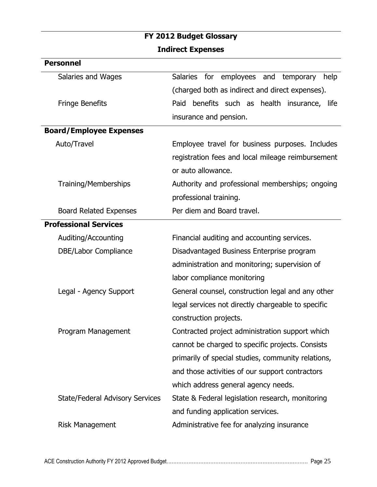# <span id="page-27-0"></span>**FY 2012 Budget Glossary**

### **Indirect Expenses**

<span id="page-27-1"></span>

| <b>Personnel</b>                       |                                                           |
|----------------------------------------|-----------------------------------------------------------|
| Salaries and Wages                     | <b>Salaries</b><br>for employees and<br>temporary<br>help |
|                                        | (charged both as indirect and direct expenses).           |
| <b>Fringe Benefits</b>                 | Paid benefits such as health insurance, life              |
|                                        | insurance and pension.                                    |
| <b>Board/Employee Expenses</b>         |                                                           |
| Auto/Travel                            | Employee travel for business purposes. Includes           |
|                                        | registration fees and local mileage reimbursement         |
|                                        | or auto allowance.                                        |
| <b>Training/Memberships</b>            | Authority and professional memberships; ongoing           |
|                                        | professional training.                                    |
| <b>Board Related Expenses</b>          | Per diem and Board travel.                                |
| <b>Professional Services</b>           |                                                           |
| Auditing/Accounting                    | Financial auditing and accounting services.               |
| DBE/Labor Compliance                   | Disadvantaged Business Enterprise program                 |
|                                        | administration and monitoring; supervision of             |
|                                        | labor compliance monitoring                               |
| Legal - Agency Support                 | General counsel, construction legal and any other         |
|                                        | legal services not directly chargeable to specific        |
|                                        | construction projects.                                    |
| Program Management                     | Contracted project administration support which           |
|                                        | cannot be charged to specific projects. Consists          |
|                                        | primarily of special studies, community relations,        |
|                                        | and those activities of our support contractors           |
|                                        | which address general agency needs.                       |
| <b>State/Federal Advisory Services</b> | State & Federal legislation research, monitoring          |
|                                        | and funding application services.                         |
| <b>Risk Management</b>                 | Administrative fee for analyzing insurance                |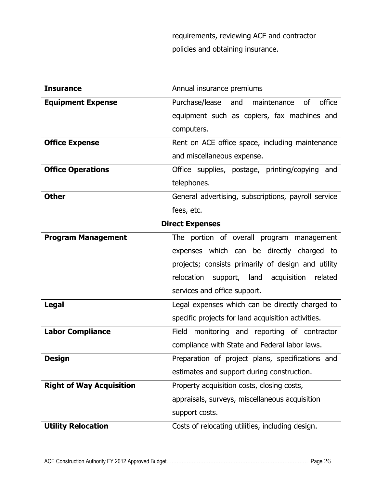requirements, reviewing ACE and contractor policies and obtaining insurance.

<span id="page-28-0"></span>

| <b>Insurance</b>                | Annual insurance premiums                                   |  |
|---------------------------------|-------------------------------------------------------------|--|
| <b>Equipment Expense</b>        | Purchase/lease<br>$\circ$ f<br>office<br>maintenance<br>and |  |
|                                 | equipment such as copiers, fax machines and                 |  |
|                                 | computers.                                                  |  |
| <b>Office Expense</b>           | Rent on ACE office space, including maintenance             |  |
|                                 | and miscellaneous expense.                                  |  |
| <b>Office Operations</b>        | Office supplies, postage, printing/copying<br>and           |  |
|                                 | telephones.                                                 |  |
| <b>Other</b>                    | General advertising, subscriptions, payroll service         |  |
|                                 | fees, etc.                                                  |  |
| <b>Direct Expenses</b>          |                                                             |  |
| <b>Program Management</b>       | The portion of overall program management                   |  |
|                                 | expenses which can be directly charged to                   |  |
|                                 | projects; consists primarily of design and utility          |  |
|                                 | support, land acquisition related<br>relocation             |  |
|                                 | services and office support.                                |  |
| <b>Legal</b>                    | Legal expenses which can be directly charged to             |  |
|                                 | specific projects for land acquisition activities.          |  |
| <b>Labor Compliance</b>         | Field monitoring and reporting of contractor                |  |
|                                 | compliance with State and Federal labor laws.               |  |
| <b>Design</b>                   | Preparation of project plans, specifications and            |  |
|                                 | estimates and support during construction.                  |  |
| <b>Right of Way Acquisition</b> | Property acquisition costs, closing costs,                  |  |
|                                 | appraisals, surveys, miscellaneous acquisition              |  |
|                                 | support costs.                                              |  |
| <b>Utility Relocation</b>       | Costs of relocating utilities, including design.            |  |